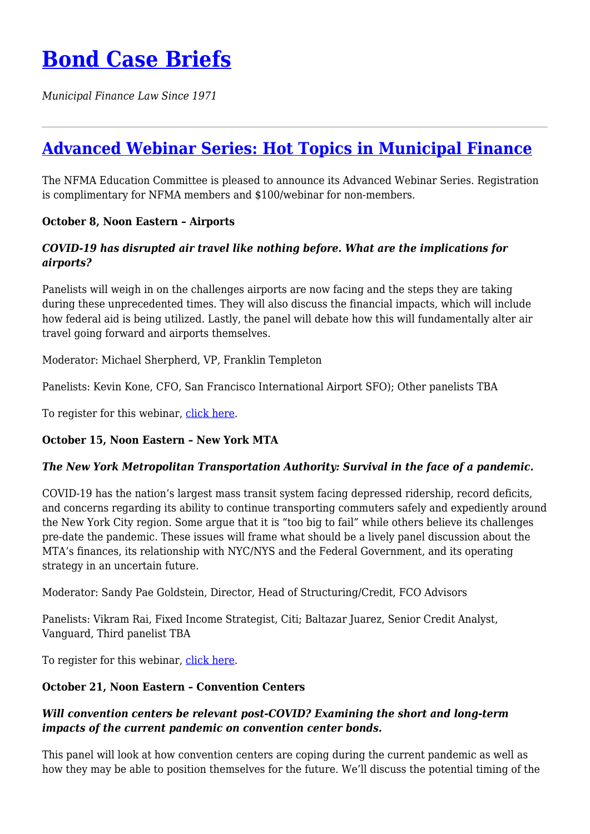*Municipal Finance Law Since 1971*

# **[Advanced Webinar Series: Hot Topics in Municipal Finance](https://bondcasebriefs.com/2020/09/22/events/advanced-webinar-series-hot-topics-in-municipal-finance/)**

The NFMA Education Committee is pleased to announce its Advanced Webinar Series. Registration is complimentary for NFMA members and \$100/webinar for non-members.

## **October 8, Noon Eastern – Airports**

### *COVID-19 has disrupted air travel like nothing before. What are the implications for airports?*

Panelists will weigh in on the challenges airports are now facing and the steps they are taking during these unprecedented times. They will also discuss the financial impacts, which will include how federal aid is being utilized. Lastly, the panel will debate how this will fundamentally alter air travel going forward and airports themselves.

Moderator: Michael Sherpherd, VP, Franklin Templeton

Panelists: Kevin Kone, CFO, San Francisco International Airport SFO); Other panelists TBA

To register for this webinar, [click here.](https://nfma.memberclicks.net/index.php?option=com_mcform&view=ngforms&id=2060590#/)

## **October 15, Noon Eastern – New York MTA**

## *The New York Metropolitan Transportation Authority: Survival in the face of a pandemic.*

COVID-19 has the nation's largest mass transit system facing depressed ridership, record deficits, and concerns regarding its ability to continue transporting commuters safely and expediently around the New York City region. Some argue that it is "too big to fail" while others believe its challenges pre-date the pandemic. These issues will frame what should be a lively panel discussion about the MTA's finances, its relationship with NYC/NYS and the Federal Government, and its operating strategy in an uncertain future.

Moderator: Sandy Pae Goldstein, Director, Head of Structuring/Credit, FCO Advisors

Panelists: Vikram Rai, Fixed Income Strategist, Citi; Baltazar Juarez, Senior Credit Analyst, Vanguard, Third panelist TBA

To register for this webinar, [click here.](https://nfma.memberclicks.net/index.php?option=com_mcform&view=ngforms&id=2060592#/)

## **October 21, Noon Eastern – Convention Centers**

## *Will convention centers be relevant post-COVID? Examining the short and long-term impacts of the current pandemic on convention center bonds.*

This panel will look at how convention centers are coping during the current pandemic as well as how they may be able to position themselves for the future. We'll discuss the potential timing of the